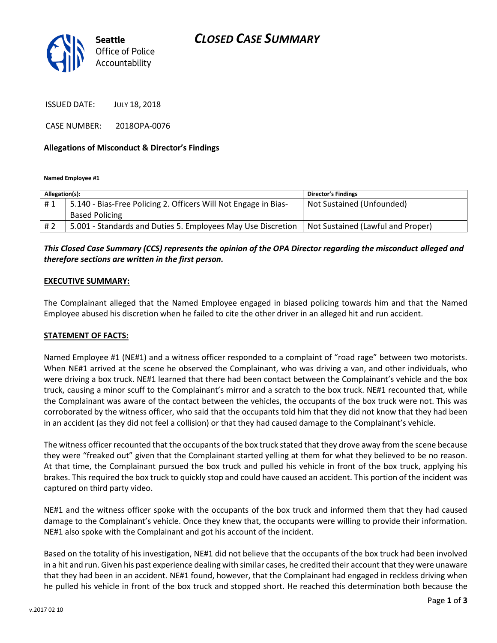

ISSUED DATE: JULY 18, 2018

CASE NUMBER: 2018OPA-0076

#### **Allegations of Misconduct & Director's Findings**

**Named Employee #1**

| Allegation(s): |                                                                 | Director's Findings               |
|----------------|-----------------------------------------------------------------|-----------------------------------|
| #1             | 5.140 - Bias-Free Policing 2. Officers Will Not Engage in Bias- | Not Sustained (Unfounded)         |
|                | <b>Based Policing</b>                                           |                                   |
| # 2            | 5.001 - Standards and Duties 5. Employees May Use Discretion    | Not Sustained (Lawful and Proper) |

# *This Closed Case Summary (CCS) represents the opinion of the OPA Director regarding the misconduct alleged and therefore sections are written in the first person.*

#### **EXECUTIVE SUMMARY:**

The Complainant alleged that the Named Employee engaged in biased policing towards him and that the Named Employee abused his discretion when he failed to cite the other driver in an alleged hit and run accident.

#### **STATEMENT OF FACTS:**

Named Employee #1 (NE#1) and a witness officer responded to a complaint of "road rage" between two motorists. When NE#1 arrived at the scene he observed the Complainant, who was driving a van, and other individuals, who were driving a box truck. NE#1 learned that there had been contact between the Complainant's vehicle and the box truck, causing a minor scuff to the Complainant's mirror and a scratch to the box truck. NE#1 recounted that, while the Complainant was aware of the contact between the vehicles, the occupants of the box truck were not. This was corroborated by the witness officer, who said that the occupants told him that they did not know that they had been in an accident (as they did not feel a collision) or that they had caused damage to the Complainant's vehicle.

The witness officer recounted that the occupants of the box truck stated that they drove away from the scene because they were "freaked out" given that the Complainant started yelling at them for what they believed to be no reason. At that time, the Complainant pursued the box truck and pulled his vehicle in front of the box truck, applying his brakes. This required the box truck to quickly stop and could have caused an accident. This portion of the incident was captured on third party video.

NE#1 and the witness officer spoke with the occupants of the box truck and informed them that they had caused damage to the Complainant's vehicle. Once they knew that, the occupants were willing to provide their information. NE#1 also spoke with the Complainant and got his account of the incident.

Based on the totality of his investigation, NE#1 did not believe that the occupants of the box truck had been involved in a hit and run. Given his past experience dealing with similar cases, he credited their account that they were unaware that they had been in an accident. NE#1 found, however, that the Complainant had engaged in reckless driving when he pulled his vehicle in front of the box truck and stopped short. He reached this determination both because the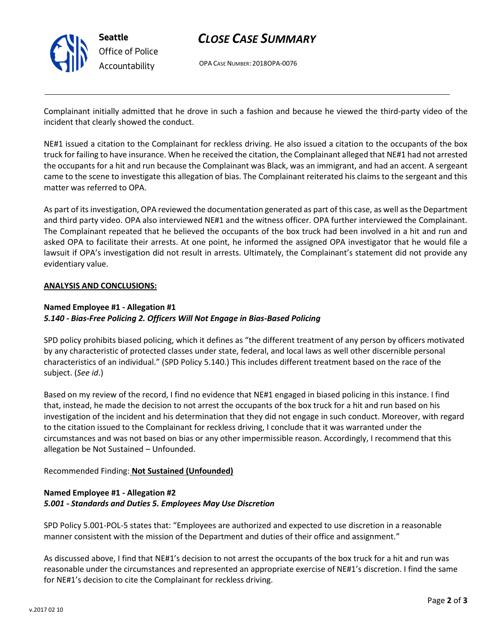

# *CLOSE CASE SUMMARY*

OPA CASE NUMBER: 2018OPA-0076

Complainant initially admitted that he drove in such a fashion and because he viewed the third-party video of the incident that clearly showed the conduct.

NE#1 issued a citation to the Complainant for reckless driving. He also issued a citation to the occupants of the box truck for failing to have insurance. When he received the citation, the Complainant alleged that NE#1 had not arrested the occupants for a hit and run because the Complainant was Black, was an immigrant, and had an accent. A sergeant came to the scene to investigate this allegation of bias. The Complainant reiterated his claims to the sergeant and this matter was referred to OPA.

As part of its investigation, OPA reviewed the documentation generated as part of this case, as well as the Department and third party video. OPA also interviewed NE#1 and the witness officer. OPA further interviewed the Complainant. The Complainant repeated that he believed the occupants of the box truck had been involved in a hit and run and asked OPA to facilitate their arrests. At one point, he informed the assigned OPA investigator that he would file a lawsuit if OPA's investigation did not result in arrests. Ultimately, the Complainant's statement did not provide any evidentiary value.

#### **ANALYSIS AND CONCLUSIONS:**

#### **Named Employee #1 - Allegation #1**

# *5.140 - Bias-Free Policing 2. Officers Will Not Engage in Bias-Based Policing*

SPD policy prohibits biased policing, which it defines as "the different treatment of any person by officers motivated by any characteristic of protected classes under state, federal, and local laws as well other discernible personal characteristics of an individual." (SPD Policy 5.140.) This includes different treatment based on the race of the subject. (*See id*.)

Based on my review of the record, I find no evidence that NE#1 engaged in biased policing in this instance. I find that, instead, he made the decision to not arrest the occupants of the box truck for a hit and run based on his investigation of the incident and his determination that they did not engage in such conduct. Moreover, with regard to the citation issued to the Complainant for reckless driving, I conclude that it was warranted under the circumstances and was not based on bias or any other impermissible reason. Accordingly, I recommend that this allegation be Not Sustained – Unfounded.

#### Recommended Finding: **Not Sustained (Unfounded)**

# **Named Employee #1 - Allegation #2** *5.001 - Standards and Duties 5. Employees May Use Discretion*

SPD Policy 5.001-POL-5 states that: "Employees are authorized and expected to use discretion in a reasonable manner consistent with the mission of the Department and duties of their office and assignment."

As discussed above, I find that NE#1's decision to not arrest the occupants of the box truck for a hit and run was reasonable under the circumstances and represented an appropriate exercise of NE#1's discretion. I find the same for NE#1's decision to cite the Complainant for reckless driving.